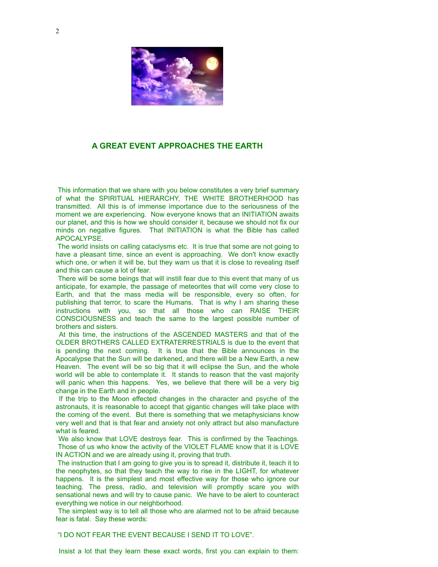

## **A GREAT EVENT APPROACHES THE EARTH**

 This information that we share with you below constitutes a very brief summary of what the SPIRITUAL HIERARCHY, THE WHITE BROTHERHOOD has transmitted. All this is of immense importance due to the seriousness of the moment we are experiencing. Now everyone knows that an INITIATION awaits our planet, and this is how we should consider it, because we should not fix our minds on negative figures. That INITIATION is what the Bible has called APOCALYPSE.

 The world insists on calling cataclysms etc. It is true that some are not going to have a pleasant time, since an event is approaching. We don't know exactly which one, or when it will be, but they warn us that it is close to revealing itself and this can cause a lot of fear.

 There will be some beings that will instill fear due to this event that many of us anticipate, for example, the passage of meteorites that will come very close to Earth, and that the mass media will be responsible, every so often, for publishing that terror, to scare the Humans. That is why I am sharing these instructions with you, so that all those who can RAISE THEIR CONSCIOUSNESS and teach the same to the largest possible number of brothers and sisters.

 At this time, the instructions of the ASCENDED MASTERS and that of the OLDER BROTHERS CALLED EXTRATERRESTRIALS is due to the event that is pending the next coming. It is true that the Bible announces in the Apocalypse that the Sun will be darkened, and there will be a New Earth, a new Heaven. The event will be so big that it will eclipse the Sun, and the whole world will be able to contemplate it. It stands to reason that the vast majority will panic when this happens. Yes, we believe that there will be a very big change in the Earth and in people.

 If the trip to the Moon effected changes in the character and psyche of the astronauts, it is reasonable to accept that gigantic changes will take place with the coming of the event. But there is something that we metaphysicians know very well and that is that fear and anxiety not only attract but also manufacture what is feared.

 We also know that LOVE destroys fear. This is confirmed by the Teachings. Those of us who know the activity of the VIOLET FLAME know that it is LOVE IN ACTION and we are already using it, proving that truth.

 The instruction that I am going to give you is to spread it, distribute it, teach it to the neophytes, so that they teach the way to rise in the LIGHT, for whatever happens. It is the simplest and most effective way for those who ignore our teaching. The press, radio, and television will promptly scare you with sensational news and will try to cause panic. We have to be alert to counteract everything we notice in our neighborhood.

 The simplest way is to tell all those who are alarmed not to be afraid because fear is fatal. Say these words:

"I DO NOT FEAR THE EVENT BECAUSE I SEND IT TO LOVE".

Insist a lot that they learn these exact words, first you can explain to them: